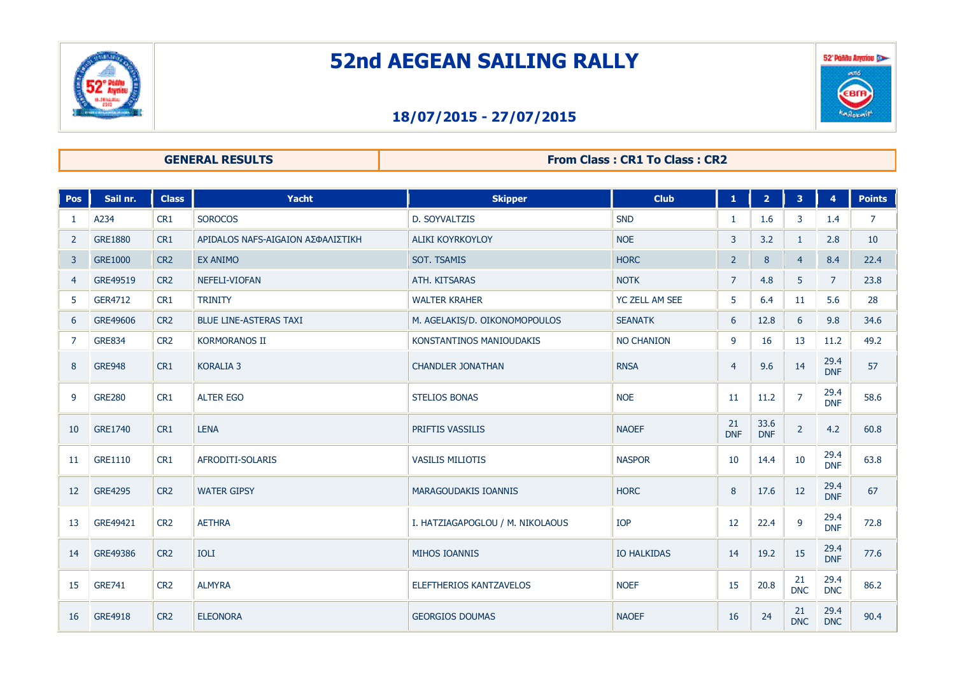

## **52nd AEGEAN SAILING RALLY**

# 52 Ponnu Arraiou алб. EBIF

## **18/07/2015 - 27/07/2015**

### **GENERAL RESULTS From Class : CR1 To Class : CR2**

| <b>Pos</b>     | Sail nr.       | <b>Class</b>    | Yacht                             | <b>Skipper</b>                   | <b>Club</b>        | $\mathbf{1}$     | $\overline{2}$     | 3 <sup>1</sup>   | $\overline{4}$     | <b>Points</b>  |
|----------------|----------------|-----------------|-----------------------------------|----------------------------------|--------------------|------------------|--------------------|------------------|--------------------|----------------|
| -1             | A234           | CR1             | <b>SOROCOS</b>                    | D. SOYVALTZIS                    | <b>SND</b>         | $\mathbf{1}$     | 1.6                | $\mathbf{3}$     | 1.4                | $\overline{7}$ |
| $\overline{2}$ | <b>GRE1880</b> | CR1             | ΑΡΙDALOS NAFS-AIGAION ΑΣΦΑΛΙΣΤΙΚΗ | <b>ALIKI KOYRKOYLOY</b>          | <b>NOE</b>         | 3                | 3.2                | $\mathbf{1}$     | 2.8                | 10             |
| 3              | <b>GRE1000</b> | CR <sub>2</sub> | <b>EX ANIMO</b>                   | <b>SOT. TSAMIS</b>               | <b>HORC</b>        | $\overline{2}$   | $\bf 8$            | $\overline{4}$   | 8.4                | 22.4           |
| $\overline{4}$ | GRE49519       | CR <sub>2</sub> | NEFELI-VIOFAN                     | ATH. KITSARAS                    | <b>NOTK</b>        | $\overline{7}$   | 4.8                | 5                | $\overline{7}$     | 23.8           |
| 5              | GER4712        | CR <sub>1</sub> | <b>TRINITY</b>                    | <b>WALTER KRAHER</b>             | YC ZELL AM SEE     | 5                | 6.4                | 11               | 5.6                | 28             |
| 6              | GRE49606       | CR <sub>2</sub> | <b>BLUE LINE-ASTERAS TAXI</b>     | M. AGELAKIS/D. OIKONOMOPOULOS    | <b>SEANATK</b>     | 6                | 12.8               | 6                | 9.8                | 34.6           |
| $\overline{7}$ | <b>GRE834</b>  | CR <sub>2</sub> | <b>KORMORANOS II</b>              | KONSTANTINOS MANIOUDAKIS         | <b>NO CHANION</b>  | 9                | 16                 | 13               | 11.2               | 49.2           |
| 8              | <b>GRE948</b>  | CR1             | <b>KORALIA 3</b>                  | <b>CHANDLER JONATHAN</b>         | <b>RNSA</b>        | $\overline{4}$   | 9.6                | 14               | 29.4<br><b>DNF</b> | 57             |
| 9              | <b>GRE280</b>  | CR1             | <b>ALTER EGO</b>                  | <b>STELIOS BONAS</b>             | <b>NOE</b>         | 11               | 11.2               | $\overline{7}$   | 29.4<br><b>DNF</b> | 58.6           |
| 10             | <b>GRE1740</b> | CR1             | <b>LENA</b>                       | PRIFTIS VASSILIS                 | <b>NAOEF</b>       | 21<br><b>DNF</b> | 33.6<br><b>DNF</b> | $\overline{2}$   | 4.2                | 60.8           |
| 11             | GRE1110        | CR <sub>1</sub> | AFRODITI-SOLARIS                  | <b>VASILIS MILIOTIS</b>          | <b>NASPOR</b>      | 10               | 14.4               | 10               | 29.4<br><b>DNF</b> | 63.8           |
| 12             | <b>GRE4295</b> | CR <sub>2</sub> | <b>WATER GIPSY</b>                | MARAGOUDAKIS IOANNIS             | <b>HORC</b>        | 8                | 17.6               | 12               | 29.4<br><b>DNF</b> | 67             |
| 13             | GRE49421       | CR <sub>2</sub> | <b>AETHRA</b>                     | I. HATZIAGAPOGLOU / M. NIKOLAOUS | <b>IOP</b>         | 12               | 22.4               | 9                | 29.4<br><b>DNF</b> | 72.8           |
| 14             | GRE49386       | CR <sub>2</sub> | <b>IOLI</b>                       | MIHOS IOANNIS                    | <b>IO HALKIDAS</b> | 14               | 19.2               | 15               | 29.4<br><b>DNF</b> | 77.6           |
| 15             | <b>GRE741</b>  | CR <sub>2</sub> | <b>ALMYRA</b>                     | <b>ELEFTHERIOS KANTZAVELOS</b>   | <b>NOEF</b>        | 15               | 20.8               | 21<br><b>DNC</b> | 29.4<br><b>DNC</b> | 86.2           |
| 16             | <b>GRE4918</b> | CR <sub>2</sub> | <b>ELEONORA</b>                   | <b>GEORGIOS DOUMAS</b>           | <b>NAOEF</b>       | 16               | 24                 | 21<br><b>DNC</b> | 29.4<br><b>DNC</b> | 90.4           |